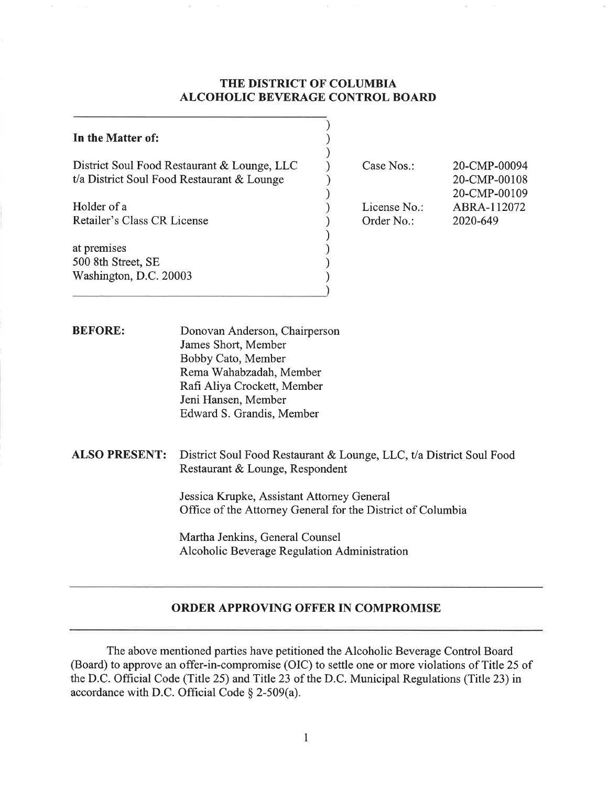# **THE DISTRICT OF COLUMBIA ALCOHOLIC BEVERAGE CONTROL BOARD**

| <b>ORDER APPROVING OFFER IN COMPROMISE</b>                                                                                                              |                            |                                                                                                                  |
|---------------------------------------------------------------------------------------------------------------------------------------------------------|----------------------------|------------------------------------------------------------------------------------------------------------------|
|                                                                                                                                                         |                            |                                                                                                                  |
| Jessica Krupke, Assistant Attorney General<br>Office of the Attorney General for the District of Columbia                                               |                            |                                                                                                                  |
| <b>ALSO PRESENT:</b><br>District Soul Food Restaurant & Lounge, LLC, t/a District Soul Food<br>Restaurant & Lounge, Respondent                          |                            |                                                                                                                  |
| James Short, Member<br>Bobby Cato, Member<br>Rema Wahabzadah, Member<br>Rafi Aliya Crockett, Member<br>Jeni Hansen, Member<br>Edward S. Grandis, Member |                            |                                                                                                                  |
|                                                                                                                                                         |                            |                                                                                                                  |
| Washington, D.C. 20003                                                                                                                                  |                            |                                                                                                                  |
|                                                                                                                                                         |                            |                                                                                                                  |
| Retailer's Class CR License                                                                                                                             | License No.:<br>Order No.: | 20-CMP-00109<br>ABRA-112072<br>2020-649                                                                          |
| District Soul Food Restaurant & Lounge, LLC<br>t/a District Soul Food Restaurant & Lounge                                                               | Case Nos.:                 | 20-CMP-00094<br>20-CMP-00108                                                                                     |
|                                                                                                                                                         |                            |                                                                                                                  |
|                                                                                                                                                         |                            | Donovan Anderson, Chairperson<br>Martha Jenkins, General Counsel<br>Alcoholic Beverage Regulation Administration |

The above mentioned parties have petitioned the Alcoholic Beverage Control Board (Board) to approve an offer-in-compromise (OIC) to settle one or more violations of Title 25 of the D.C. Official Code (Title 25) and Title 23 of the D.C. Municipal Regulations (Title 23) in accordance with D.C. Official Code§ 2-509(a).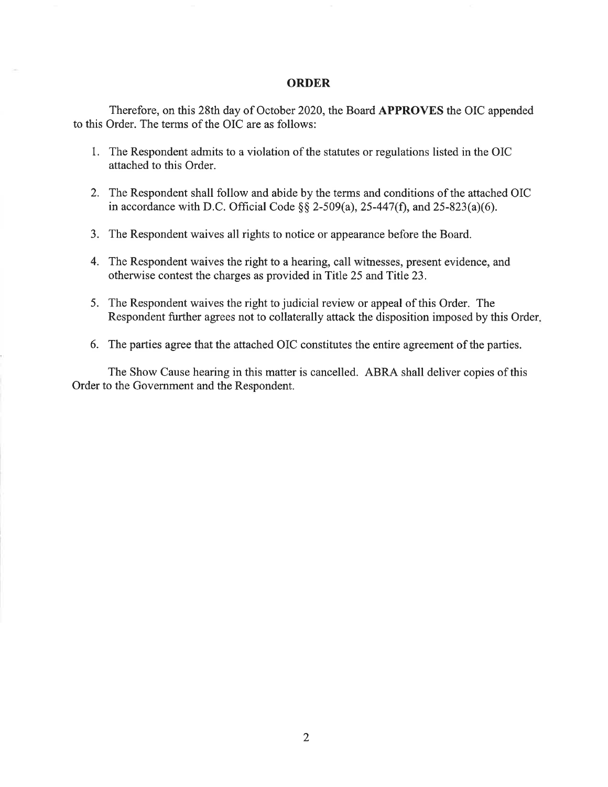#### **ORDER**

Therefore, on this 28th day of October 2020, the Board **APPROVES** the OIC appended to this Order. The terms of the OIC are as follows:

- I. The Respondent admits to a violation of the statutes or regulations listed in the OIC attached to this Order.
- 2. The Respondent shall follow and abide by the terms and conditions of the attached OIC in accordance with D.C. Official Code  $\S$ § 2-509(a), 25-447(f), and 25-823(a)(6).
- 3. The Respondent waives all rights to notice or appearance before the Board.
- 4. The Respondent waives the right to a hearing, call witnesses, present evidence, and otherwise contest the charges as provided in Title 25 and Title 23.
- 5. The Respondent waives the right to judicial review or appeal of this Order. The Respondent further agrees not to collaterally attack the disposition imposed by this Order.
- 6. The parties agree that the attached OIC constitutes the entire agreement of the parties.

The Show Cause hearing in this matter is cancelled. ABRA shall deliver copies of this Order to the Government and the Respondent.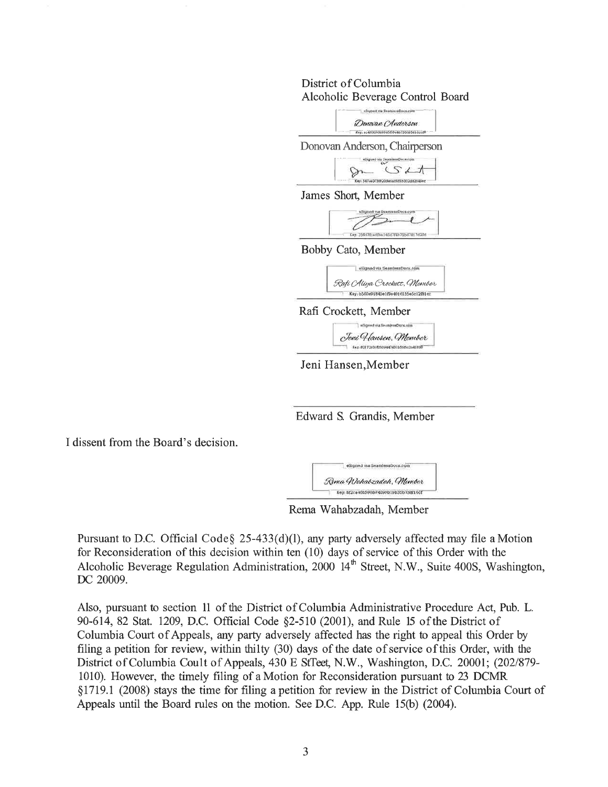# District of Columbia Alcoholic Beverage Control Board



Edward S. Grandis, Member

I dissent from the Board's decision.



Rema Wahabzadah, Member

Pursuant to D.C. Official Code  $\S$  25-433(d)(1), any party adversely affected may file a Motion for Reconsideration of this decision within ten (10) days of service of this Order with the Alcoholic Beverage Regulation Administration, 2000 14<sup>th</sup> Street, N.W., Suite 400S, Washington, DC 20009.

Also, pursuant to section 11 of the District of Columbia Administrative Procedure Act, Pub. L. 90-614, 82 Stat. 1209, D.C. Official Code §2-510 (2001), and Rule 15 of the District of Columbia Court of Appeals, any party adversely affected has the right to appeal this Order by filing a petition for review, within thilty (30) days of the date of service of this Order, with the District of Columbia Coult of Appeals, 430 E StTeet, N.W., Washington, D.C. 20001; (202/879- 1010). However, the timely filing of a Motion for Reconsideration pursuant to 23 DCMR § 1719.1 (2008) stays the time for filing a petition for review in the District of Columbia Court of Appeals until the Board rules on the motion. See D.C. App. Rule 15(b) (2004).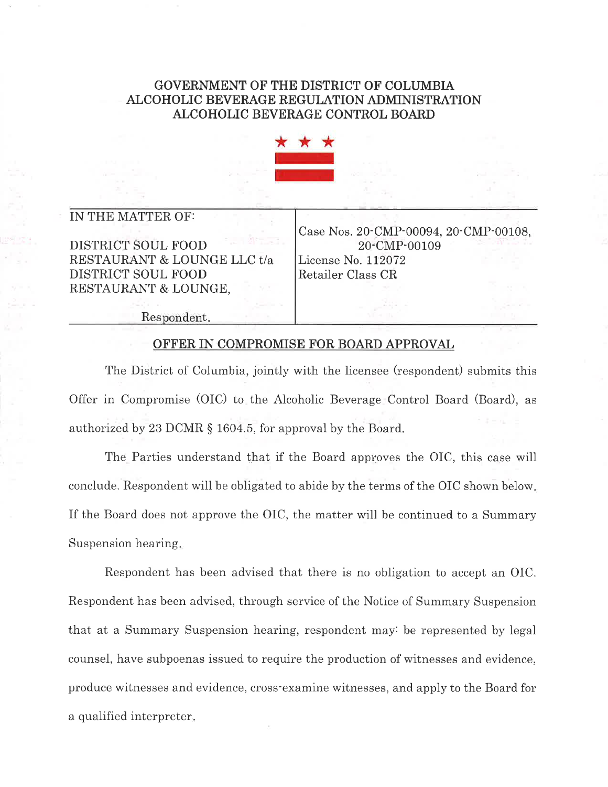# **GOVERNMENT OF THE DISTRICT OF COLUMBIA ALCOHOLIC BEVERAGE REGULATION ADMINISTRATION ALCOHOLIC BEVERAGE CONTROL BOARD**



### IN THE MATTER OF:

DISTRICT SOUL FOOD RESTAURANT & LOUNGE LLC t/a DISTRICT SOUL FOOD RESTAURANT & LOUNGE,

Case Nos. 20-CMP-00094, 20-CMP-00108, 20-CMP-00109 License No. 112072 Retailer Class CR

Respondent.

#### OFFER IN COMPROMISE FOR BOARD APPROVAL

The District of Columbia, jointly with the licensee (respondent) submits this Offer in Compromise (OIC) to the Alcoholic Beverage Control Board (Board), as authorized by 23 DCMR § 1604.5, for approval by the Board.

The Parties understand that if the Board approves the OIC, this case will conclude. Respondent will be obligated to abide by the terms of the OIC shown below. If the Board does not approve the OIC, the matter will be continued to a Summary Suspension hearing.

Respondent has been advised that there is no obligation to accept an OIC. Respondent has been advised, through service of the Notice of Summary Suspension that at a Summary Suspension hearing, respondent may: be represented by legal counsel, have subpoenas issued to require the production of witnesses and evidence, produce witnesses and evidence, cross-examine witnesses, and apply to the Board for a qualified interpreter .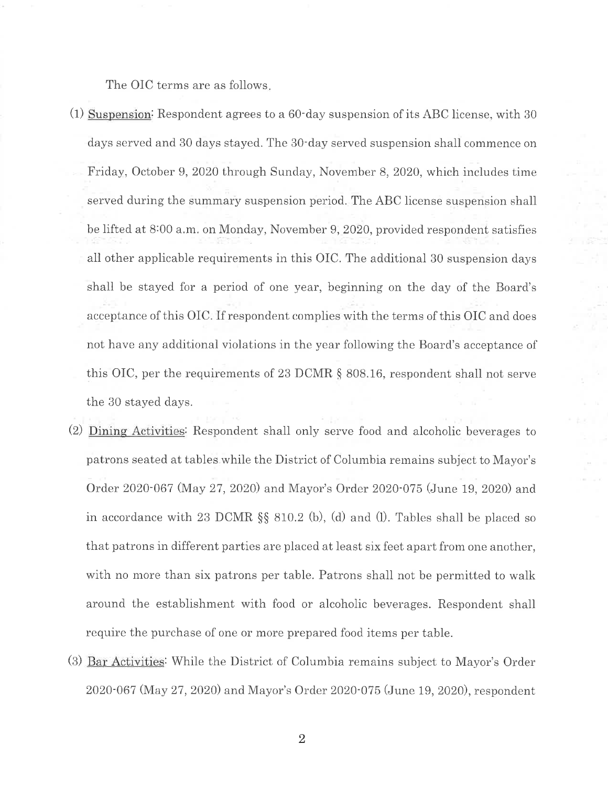The OIC terms are as follows.

- $(1)$  Suspension: Respondent agrees to a 60-day suspension of its ABC license, with 30 days served and 30 days stayed. The 30-day served suspension shall commence on Friday, October 9, 2020 through Sunday, November 8, 2020, which includes time served during the summary suspension period. The ABC license suspension shall be lifted at 8:00 a.m. on Monday, November 9, 2020, provided respondent satisfies all other applicable requirements in this OIC. The additional 30 suspension days shall be stayed for a period of one year, beginning on the day of the Board's acceptance of this OIC. If respondent complies with the terms of this OIC and does not have any additional violations in the year following the Board's acceptance of this OIC, per the requirements of 23 DCMR  $\S$  808.16, respondent shall not serve the 30 stayed days.
- (2) Dining Activities: Respondent shall only serve food and alcoholic beverages to patrons seated at tables while the District of Columbia remains subject to Mayor's Order 2020-067 (May 27, 2020) and Mayor's Order 2020-075 (June 19, 2020) and in accordance with 23 DCMR  $\S$  810.2 (b), (d) and (l). Tables shall be placed so that patrons in different parties are placed at least six feet apart from one another, with no more than six patrons per table. Patrons shall not be permitted to walk around the establishment with food or alcoholic beverages. Respondent shall require the purchase of one or more prepared food items per table.
- (3) Bar Activities: While the District of Columbia remains subject to Mayor's Order 2020-067 (May 27, 2020) and Mayor's Order 2020-075 (June 19, 2020), respondent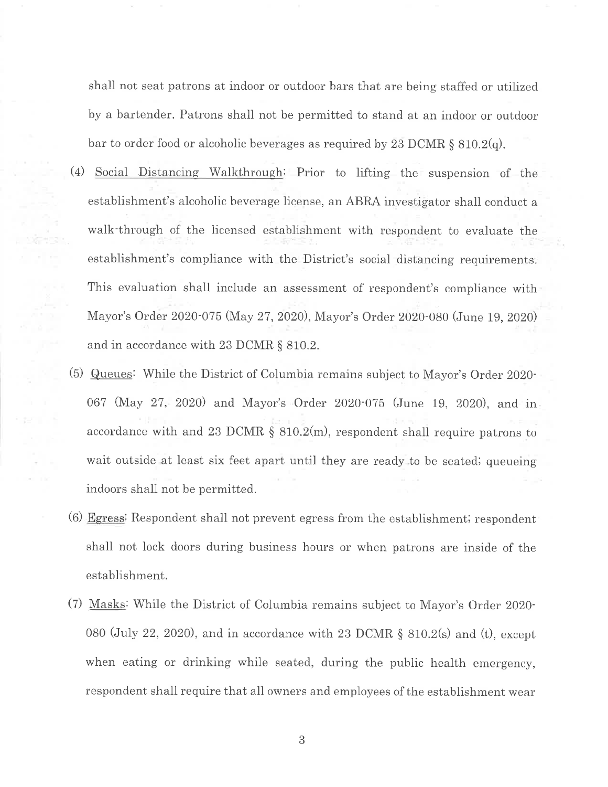shall not seat patrons at indoor or outdoor bars that are being staffed or utilized by a bartender. Patrons shall not be permitted to stand at an indoor or outdoor bar to order food or alcoholic beverages as required by  $23$  DCMR § 810.2(q).

- (4) Social Distancing Walkthrough: Prior to lifting the suspension of the establishment's alcoholic beverage license, an ABRA investigator shall conduct a walk-through of the licensed establishment with respondent to evaluate the establishment's compliance with the District's social distancing requirements. This evaluation shall include an assessment of respondent's compliance with Mayor's Order 2020-075 (May 27, 2020), Mayor's Order 2020-080 (June 19, 2020) and in accordance with 23 DCMR § 810.2.
- (5) Queues: While the District of Columbia remains subject to Mayor's Order 2020- 067 (May 27, 2020) and Mayor's Order 2020-075 (June 19, 2020), and in accordance with and 23 DCMR § 810.2(m), respondent shall require patrons to wait outside at least six feet apart until they are ready to be seated; queueing indoors shall not be permitted.
- (6) Egress: Respondent shall not prevent egress from the establishment; respondent shall not lock doors during business hours or when patrons are inside of the establishment.
- (7) Masks: While the District of Columbia remains subject to Mayor's Order 2020- 080 (July 22, 2020), and in accordance with 23 DCMR  $\S$  810.2(s) and (t), except when eating or drinking while seated, during the public health emergency, respondent shall require that all owners and employees of the establishment wear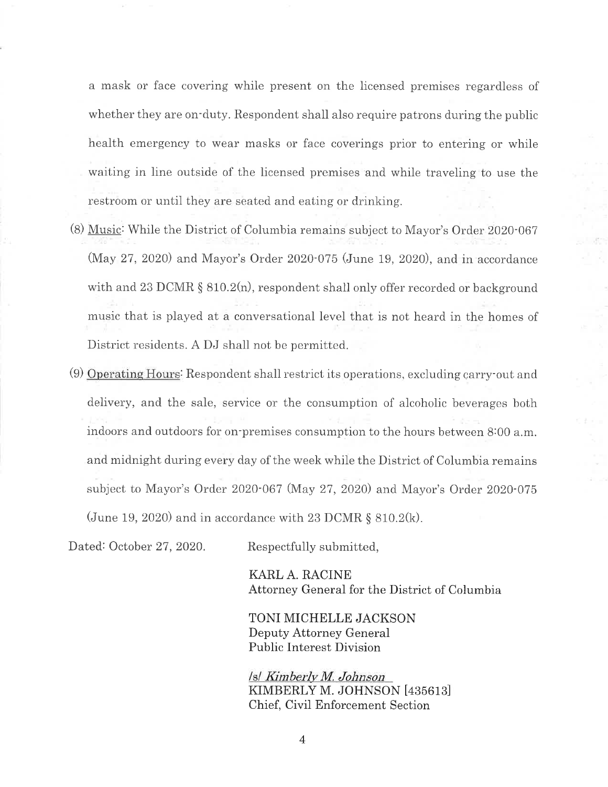a mask or face covering while present on the licensed premises regardless of whether they are on-duty. Respondent shall also require patrons during the public health emergency to wear masks or face coverings prior to entering or while waiting in line outside of the licensed premises and while traveling to use the restroom or until they are seated and eating or drinking.

- (8) Music: While the District of Columbia remains subject to Mayor's Order 2020-067 (May 27, 2020) and Mayor's Order 2020-075 (June 19, 2020), and in accordance with and 23 DCMR § 810.2(n), respondent shall only offer recorded or background music that is played at a conversational level that is not heard in the homes of District residents. A DJ shall not be permitted.
- (9) Operating Hours: Respondent shall restrict its operations, excluding carry-out and delivery, and the sale, service or the consumption of alcoholic beverages both indoors and outdoors for on-premises consumption to the hours between s:oo a.m. and midnight during every day of the week while the District of Columbia remains subject to Mayor's Order 2020-067 (May 27, 2020) and Mayor's Order 2020-075 (June 19, 2020) and in accordance with 23 DCMR  $\S 810.2(k)$ .

Dated: October 27, 2020. Respectfully submitted,

KARL A. RACINE Attorney General for the District of Columbia

TONI MICHELLE JACKSON Deputy Attorney General Public Interest Division

*Isl Kimberly M. Johnson* KIMBERLY M. JOHNSON [435613] Chief, Civil Enforcement Section

4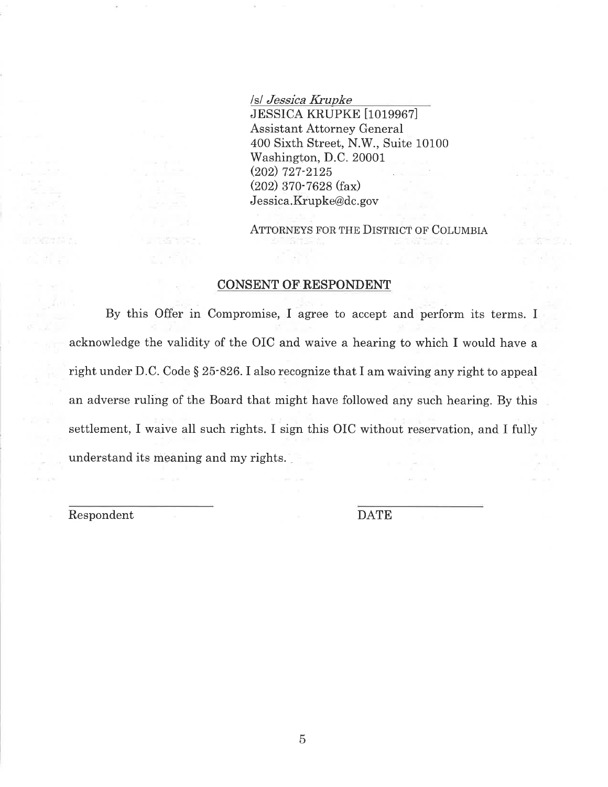Isl *Jessica Krupke*  JESSICA KRUPKE [1019967] Assistant Attorney General 400 Sixth Street, N.W., Suite 10100 Washington, D.C. 20001 (202) 727-2125 (202) 370-7628 (fax) Jessica.Krupke@dc.gov

ATTORNEYS FOR THE DISTRICT OF COLUMBIA

### **CONSENT OF-RESPONDENT**

By this Offer in Compromise, I agree to accept and perform its terms. I acknowledge the validity of the OIC and waive a hearing to which I would have a right under D.C. Code§ 25-826. I also recognize that I am waiving any right to appeal an adverse ruling of the Board that might have followed any such hearing. By this settlement, I waive all such rights. I sign this OIC without reservation, and I fully understand its meaning and my rights. \_

Respondent DATE